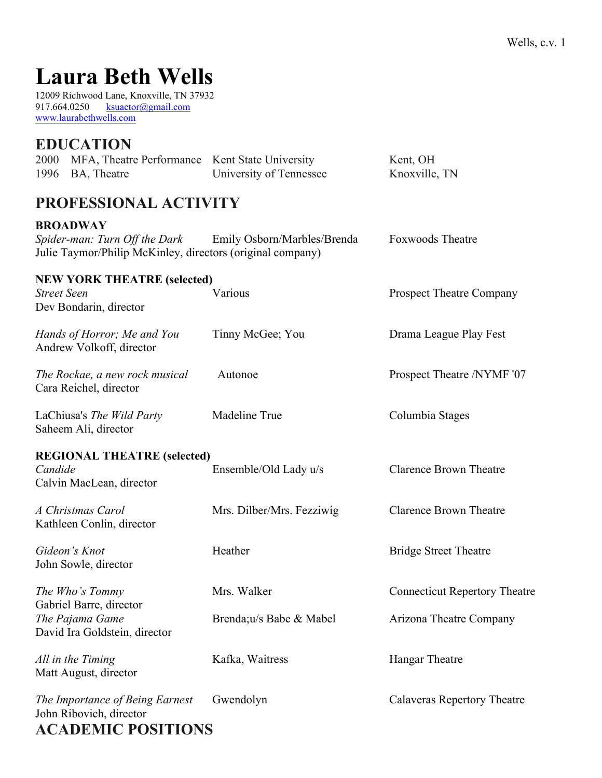# **Laura Beth Wells**

12009 Richwood Lane, Knoxville, TN 37932 917.664.0250 ksuactor@gmail.com www.laurabethwells.com

## **EDUCATION**

| 2000 MFA, Theatre Performance Kent State University |                         | Kent, OH      |
|-----------------------------------------------------|-------------------------|---------------|
| 1996 BA, Theatre                                    | University of Tennessee | Knoxville, TN |

# **PROFESSIONAL ACTIVITY**

#### **BROADWAY**

| Spider-man: Turn Off the Dark                              | Emily Osborn/Marbles/Brenda | <b>Foxwoods</b> Theatre |  |
|------------------------------------------------------------|-----------------------------|-------------------------|--|
| Julie Taymor/Philip McKinley, directors (original company) |                             |                         |  |

#### **NEW YORK THEATRE (selected) Street Seen** Various Various Prospect Theatre Company

Dev Bondarin, director *Hands of Horror; Me and You* Tinny McGee; You Drama League Play Fest Andrew Volkoff, director *The Rockae, a new rock musical* Autonoe Prospect Theatre /NYMF '07 Cara Reichel, director LaChiusa's The Wild Party Madeline True Columbia Stages Saheem Ali, director **REGIONAL THEATRE (selected)** *Candide* Ensemble/Old Lady u/s Clarence Brown Theatre Calvin MacLean, director *A Christmas Carol* Mrs. Dilber/Mrs. Fezziwig Clarence Brown Theatre Kathleen Conlin, director *Gideon's Knot* **Heather** Heather **Bridge Street Theatre** 

John Sowle, director

Gabriel Barre, director *The Pajama Game* **Brenda**;u/s Babe & Mabel **Arizona Theatre Company** David Ira Goldstein, director

*All in the Timing* **Kafka, Waitress Hangar Theatre** Matt August, director

*The Importance of Being Earnest* Gwendolyn Calaveras Repertory Theatre John Ribovich, director **ACADEMIC POSITIONS**

*The Who's Tommy* Mrs. Walker Connecticut Repertory Theatre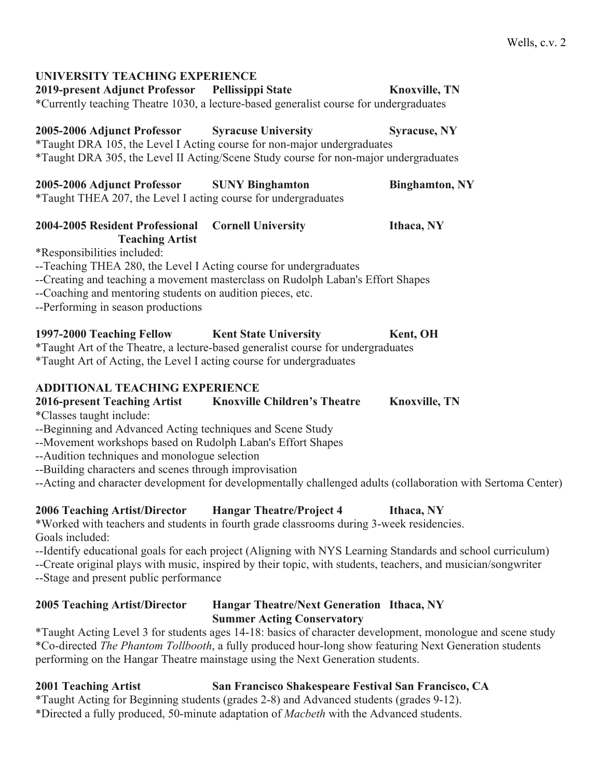## **UNIVERSITY TEACHING EXPERIENCE 2019-present Adjunct Professor Pellissippi State Knoxville, TN** \*Currently teaching Theatre 1030, a lecture-based generalist course for undergraduates **2005-2006 Adjunct Professor Syracuse University Syracuse, NY** \*Taught DRA 105, the Level I Acting course for non-major undergraduates \*Taught DRA 305, the Level II Acting/Scene Study course for non-major undergraduates **2005-2006 Adjunct Professor SUNY Binghamton Binghamton, NY** \*Taught THEA 207, the Level I acting course for undergraduates **2004-2005 Resident Professional Cornell University Ithaca, NY Teaching Artist**  \*Responsibilities included: --Teaching THEA 280, the Level I Acting course for undergraduates --Creating and teaching a movement masterclass on Rudolph Laban's Effort Shapes --Coaching and mentoring students on audition pieces, etc. --Performing in season productions **1997-2000 Teaching Fellow Kent State University Kent, OH** \*Taught Art of the Theatre, a lecture-based generalist course for undergraduates \*Taught Art of Acting, the Level I acting course for undergraduates **ADDITIONAL TEACHING EXPERIENCE 2016-present Teaching Artist Knoxville Children's Theatre Knoxville, TN** \*Classes taught include: --Beginning and Advanced Acting techniques and Scene Study --Movement workshops based on Rudolph Laban's Effort Shapes

- --Audition techniques and monologue selection
- --Building characters and scenes through improvisation
- --Acting and character development for developmentally challenged adults (collaboration with Sertoma Center)

## **2006 Teaching Artist/Director Hangar Theatre/Project 4 Ithaca, NY**

\*Worked with teachers and students in fourth grade classrooms during 3-week residencies. Goals included:

--Identify educational goals for each project (Aligning with NYS Learning Standards and school curriculum)

--Create original plays with music, inspired by their topic, with students, teachers, and musician/songwriter --Stage and present public performance

### **2005 Teaching Artist/Director Hangar Theatre/Next Generation Ithaca, NY Summer Acting Conservatory**

\*Taught Acting Level 3 for students ages 14-18: basics of character development, monologue and scene study \*Co-directed *The Phantom Tollbooth*, a fully produced hour-long show featuring Next Generation students performing on the Hangar Theatre mainstage using the Next Generation students.

## **2001 Teaching Artist San Francisco Shakespeare Festival San Francisco, CA**

\*Taught Acting for Beginning students (grades 2-8) and Advanced students (grades 9-12). \*Directed a fully produced, 50-minute adaptation of *Macbeth* with the Advanced students.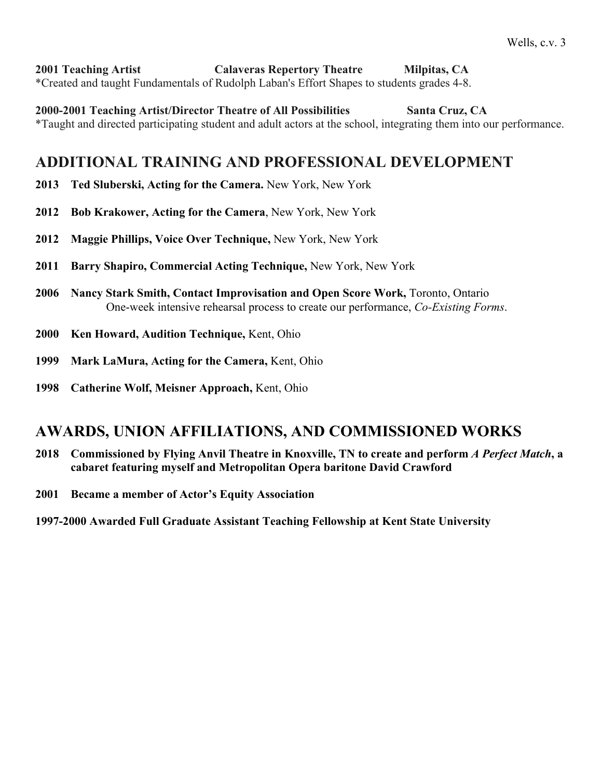**2001 Teaching Artist Calaveras Repertory Theatre Milpitas, CA** \*Created and taught Fundamentals of Rudolph Laban's Effort Shapes to students grades 4-8.

**2000-2001 Teaching Artist/Director Theatre of All Possibilities Santa Cruz, CA** \*Taught and directed participating student and adult actors at the school, integrating them into our performance.

## **ADDITIONAL TRAINING AND PROFESSIONAL DEVELOPMENT**

- **2013 Ted Sluberski, Acting for the Camera.** New York, New York
- **2012 Bob Krakower, Acting for the Camera**, New York, New York
- **2012 Maggie Phillips, Voice Over Technique,** New York, New York
- **2011 Barry Shapiro, Commercial Acting Technique,** New York, New York
- **2006 Nancy Stark Smith, Contact Improvisation and Open Score Work,** Toronto, Ontario One-week intensive rehearsal process to create our performance, *Co-Existing Forms*.
- **2000 Ken Howard, Audition Technique,** Kent, Ohio
- **1999 Mark LaMura, Acting for the Camera,** Kent, Ohio
- **1998 Catherine Wolf, Meisner Approach,** Kent, Ohio

## **AWARDS, UNION AFFILIATIONS, AND COMMISSIONED WORKS**

- **2018 Commissioned by Flying Anvil Theatre in Knoxville, TN to create and perform** *A Perfect Match***, a cabaret featuring myself and Metropolitan Opera baritone David Crawford**
- **2001 Became a member of Actor's Equity Association**

**1997-2000 Awarded Full Graduate Assistant Teaching Fellowship at Kent State University**